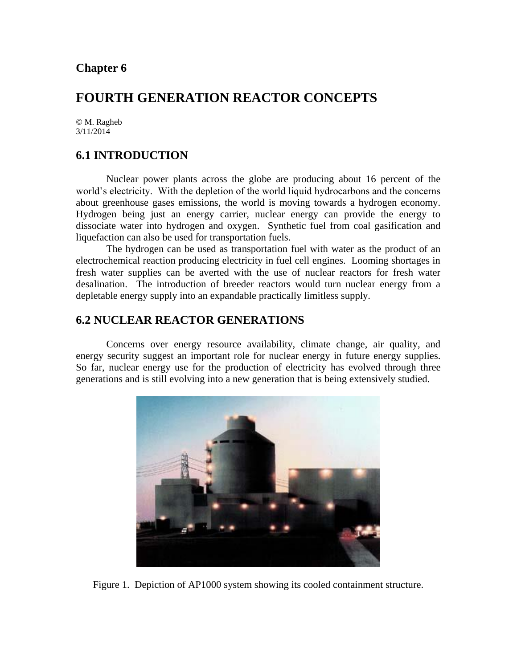# **FOURTH GENERATION REACTOR CONCEPTS**

© M. Ragheb 3/11/2014

# **6.1 INTRODUCTION**

Nuclear power plants across the globe are producing about 16 percent of the world's electricity. With the depletion of the world liquid hydrocarbons and the concerns about greenhouse gases emissions, the world is moving towards a hydrogen economy. Hydrogen being just an energy carrier, nuclear energy can provide the energy to dissociate water into hydrogen and oxygen. Synthetic fuel from coal gasification and liquefaction can also be used for transportation fuels.

The hydrogen can be used as transportation fuel with water as the product of an electrochemical reaction producing electricity in fuel cell engines. Looming shortages in fresh water supplies can be averted with the use of nuclear reactors for fresh water desalination. The introduction of breeder reactors would turn nuclear energy from a depletable energy supply into an expandable practically limitless supply.

# **6.2 NUCLEAR REACTOR GENERATIONS**

Concerns over energy resource availability, climate change, air quality, and energy security suggest an important role for nuclear energy in future energy supplies. So far, nuclear energy use for the production of electricity has evolved through three generations and is still evolving into a new generation that is being extensively studied.



Figure 1. Depiction of AP1000 system showing its cooled containment structure.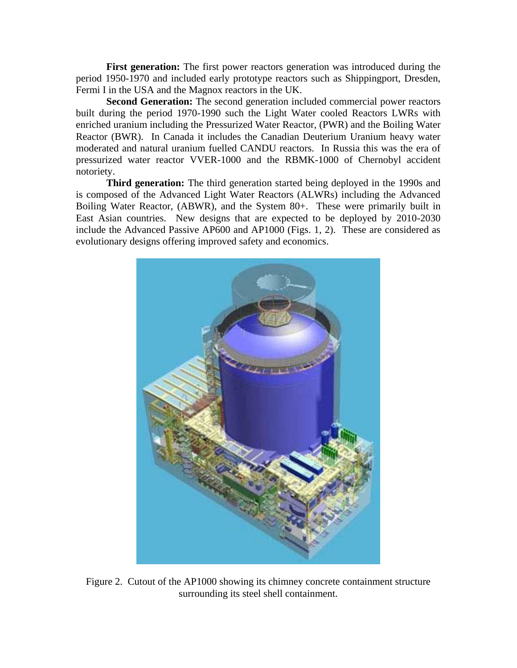**First generation:** The first power reactors generation was introduced during the period 1950-1970 and included early prototype reactors such as Shippingport, Dresden, Fermi I in the USA and the Magnox reactors in the UK.

**Second Generation:** The second generation included commercial power reactors built during the period 1970-1990 such the Light Water cooled Reactors LWRs with enriched uranium including the Pressurized Water Reactor, (PWR) and the Boiling Water Reactor (BWR). In Canada it includes the Canadian Deuterium Uranium heavy water moderated and natural uranium fuelled CANDU reactors. In Russia this was the era of pressurized water reactor VVER-1000 and the RBMK-1000 of Chernobyl accident notoriety.

**Third generation:** The third generation started being deployed in the 1990s and is composed of the Advanced Light Water Reactors (ALWRs) including the Advanced Boiling Water Reactor, (ABWR), and the System 80+. These were primarily built in East Asian countries. New designs that are expected to be deployed by 2010-2030 include the Advanced Passive AP600 and AP1000 (Figs. 1, 2). These are considered as evolutionary designs offering improved safety and economics.



Figure 2. Cutout of the AP1000 showing its chimney concrete containment structure surrounding its steel shell containment.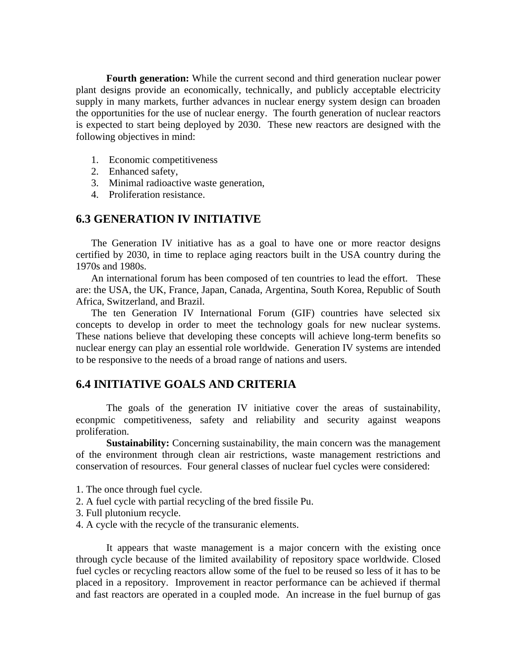**Fourth generation:** While the current second and third generation nuclear power plant designs provide an economically, technically, and publicly acceptable electricity supply in many markets, further advances in nuclear energy system design can broaden the opportunities for the use of nuclear energy. The fourth generation of nuclear reactors is expected to start being deployed by 2030. These new reactors are designed with the following objectives in mind:

- 1. Economic competitiveness
- 2. Enhanced safety,
- 3. Minimal radioactive waste generation,
- 4. Proliferation resistance.

## **6.3 GENERATION IV INITIATIVE**

The Generation IV initiative has as a goal to have one or more reactor designs certified by 2030, in time to replace aging reactors built in the USA country during the 1970s and 1980s.

An international forum has been composed of ten countries to lead the effort. These are: the USA, the UK, France, Japan, Canada, Argentina, South Korea, Republic of South Africa, Switzerland, and Brazil.

The ten Generation IV International Forum (GIF) countries have selected six concepts to develop in order to meet the technology goals for new nuclear systems. These nations believe that developing these concepts will achieve long-term benefits so nuclear energy can play an essential role worldwide. Generation IV systems are intended to be responsive to the needs of a broad range of nations and users.

#### **6.4 INITIATIVE GOALS AND CRITERIA**

The goals of the generation IV initiative cover the areas of sustainability, econpmic competitiveness, safety and reliability and security against weapons proliferation.

**Sustainability:** Concerning sustainability, the main concern was the management of the environment through clean air restrictions, waste management restrictions and conservation of resources. Four general classes of nuclear fuel cycles were considered:

- 1. The once through fuel cycle.
- 2. A fuel cycle with partial recycling of the bred fissile Pu.
- 3. Full plutonium recycle.
- 4. A cycle with the recycle of the transuranic elements.

It appears that waste management is a major concern with the existing once through cycle because of the limited availability of repository space worldwide. Closed fuel cycles or recycling reactors allow some of the fuel to be reused so less of it has to be placed in a repository. Improvement in reactor performance can be achieved if thermal and fast reactors are operated in a coupled mode. An increase in the fuel burnup of gas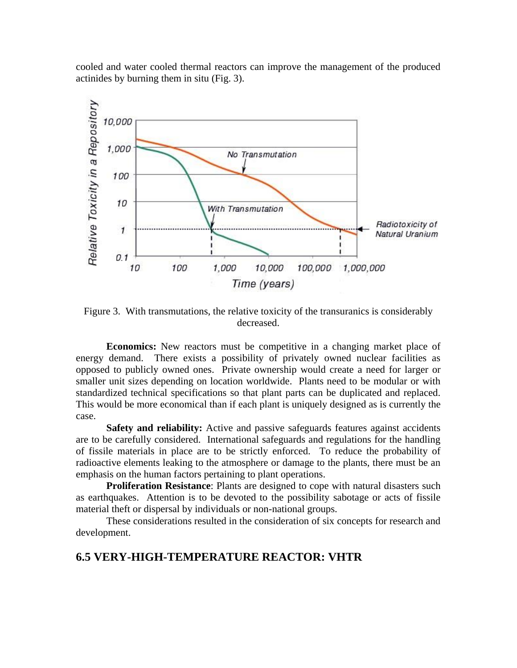cooled and water cooled thermal reactors can improve the management of the produced actinides by burning them in situ (Fig. 3).



Figure 3. With transmutations, the relative toxicity of the transuranics is considerably decreased.

**Economics:** New reactors must be competitive in a changing market place of energy demand. There exists a possibility of privately owned nuclear facilities as opposed to publicly owned ones. Private ownership would create a need for larger or smaller unit sizes depending on location worldwide. Plants need to be modular or with standardized technical specifications so that plant parts can be duplicated and replaced. This would be more economical than if each plant is uniquely designed as is currently the case.

**Safety and reliability:** Active and passive safeguards features against accidents are to be carefully considered. International safeguards and regulations for the handling of fissile materials in place are to be strictly enforced. To reduce the probability of radioactive elements leaking to the atmosphere or damage to the plants, there must be an emphasis on the human factors pertaining to plant operations.

**Proliferation Resistance**: Plants are designed to cope with natural disasters such as earthquakes. Attention is to be devoted to the possibility sabotage or acts of fissile material theft or dispersal by individuals or non-national groups.

 These considerations resulted in the consideration of six concepts for research and development.

### **6.5 VERY-HIGH-TEMPERATURE REACTOR: VHTR**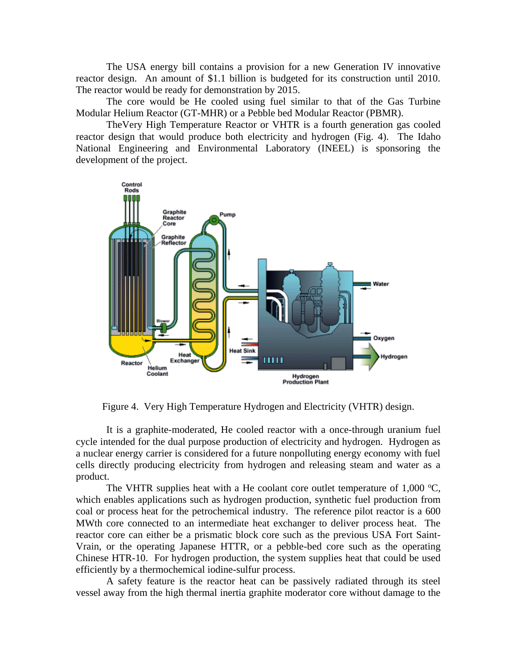The USA energy bill contains a provision for a new Generation IV innovative reactor design. An amount of \$1.1 billion is budgeted for its construction until 2010. The reactor would be ready for demonstration by 2015.

 The core would be He cooled using fuel similar to that of the Gas Turbine Modular Helium Reactor (GT-MHR) or a Pebble bed Modular Reactor (PBMR).

 TheVery High Temperature Reactor or VHTR is a fourth generation gas cooled reactor design that would produce both electricity and hydrogen (Fig. 4). The Idaho National Engineering and Environmental Laboratory (INEEL) is sponsoring the development of the project.



Figure 4. Very High Temperature Hydrogen and Electricity (VHTR) design.

It is a graphite-moderated, He cooled reactor with a once-through uranium fuel cycle intended for the dual purpose production of electricity and hydrogen. Hydrogen as a nuclear energy carrier is considered for a future nonpolluting energy economy with fuel cells directly producing electricity from hydrogen and releasing steam and water as a product.

The VHTR supplies heat with a He coolant core outlet temperature of  $1,000 \degree C$ , which enables applications such as hydrogen production, synthetic fuel production from coal or process heat for the petrochemical industry. The reference pilot reactor is a 600 MWth core connected to an intermediate heat exchanger to deliver process heat. The reactor core can either be a prismatic block core such as the previous USA Fort Saint-Vrain, or the operating Japanese HTTR, or a pebble-bed core such as the operating Chinese HTR-10. For hydrogen production, the system supplies heat that could be used efficiently by a thermochemical iodine-sulfur process.

A safety feature is the reactor heat can be passively radiated through its steel vessel away from the high thermal inertia graphite moderator core without damage to the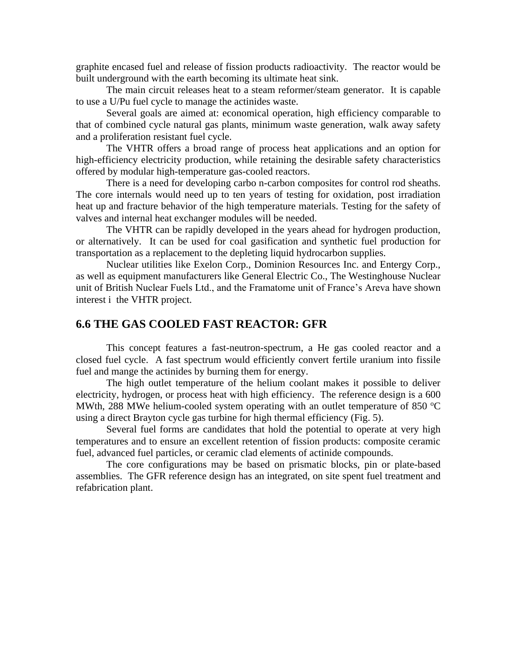graphite encased fuel and release of fission products radioactivity. The reactor would be built underground with the earth becoming its ultimate heat sink.

The main circuit releases heat to a steam reformer/steam generator. It is capable to use a U/Pu fuel cycle to manage the actinides waste.

Several goals are aimed at: economical operation, high efficiency comparable to that of combined cycle natural gas plants, minimum waste generation, walk away safety and a proliferation resistant fuel cycle.

The VHTR offers a broad range of process heat applications and an option for high-efficiency electricity production, while retaining the desirable safety characteristics offered by modular high-temperature gas-cooled reactors.

There is a need for developing carbo n-carbon composites for control rod sheaths. The core internals would need up to ten years of testing for oxidation, post irradiation heat up and fracture behavior of the high temperature materials. Testing for the safety of valves and internal heat exchanger modules will be needed.

The VHTR can be rapidly developed in the years ahead for hydrogen production, or alternatively. It can be used for coal gasification and synthetic fuel production for transportation as a replacement to the depleting liquid hydrocarbon supplies.

Nuclear utilities like Exelon Corp., Dominion Resources Inc. and Entergy Corp., as well as equipment manufacturers like General Electric Co., The Westinghouse Nuclear unit of British Nuclear Fuels Ltd., and the Framatome unit of France's Areva have shown interest i the VHTR project.

#### **6.6 THE GAS COOLED FAST REACTOR: GFR**

This concept features a fast-neutron-spectrum, a He gas cooled reactor and a closed fuel cycle. A fast spectrum would efficiently convert fertile uranium into fissile fuel and mange the actinides by burning them for energy.

The high outlet temperature of the helium coolant makes it possible to deliver electricity, hydrogen, or process heat with high efficiency. The reference design is a 600 MWth, 288 MWe helium-cooled system operating with an outlet temperature of 850  $^{\circ}$ C using a direct Brayton cycle gas turbine for high thermal efficiency (Fig. 5).

Several fuel forms are candidates that hold the potential to operate at very high temperatures and to ensure an excellent retention of fission products: composite ceramic fuel, advanced fuel particles, or ceramic clad elements of actinide compounds.

The core configurations may be based on prismatic blocks, pin or plate-based assemblies. The GFR reference design has an integrated, on site spent fuel treatment and refabrication plant.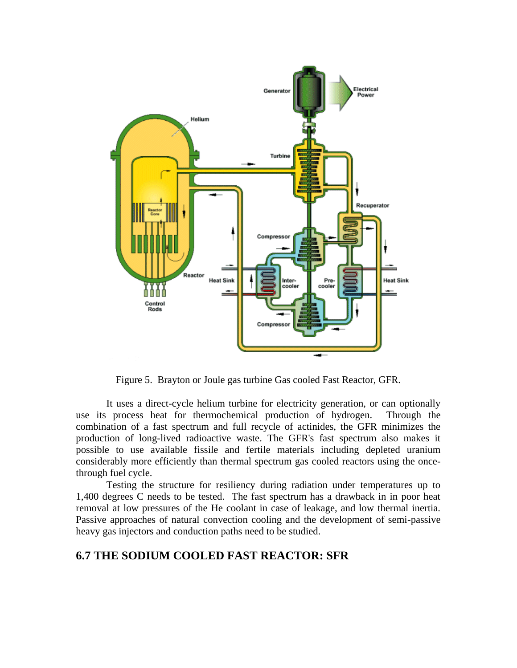

Figure 5. Brayton or Joule gas turbine Gas cooled Fast Reactor, GFR.

It uses a direct-cycle helium turbine for electricity generation, or can optionally use its process heat for thermochemical production of hydrogen. Through the combination of a fast spectrum and full recycle of actinides, the GFR minimizes the production of long-lived radioactive waste. The GFR's fast spectrum also makes it possible to use available fissile and fertile materials including depleted uranium considerably more efficiently than thermal spectrum gas cooled reactors using the oncethrough fuel cycle.

Testing the structure for resiliency during radiation under temperatures up to 1,400 degrees C needs to be tested. The fast spectrum has a drawback in in poor heat removal at low pressures of the He coolant in case of leakage, and low thermal inertia. Passive approaches of natural convection cooling and the development of semi-passive heavy gas injectors and conduction paths need to be studied.

# **6.7 THE SODIUM COOLED FAST REACTOR: SFR**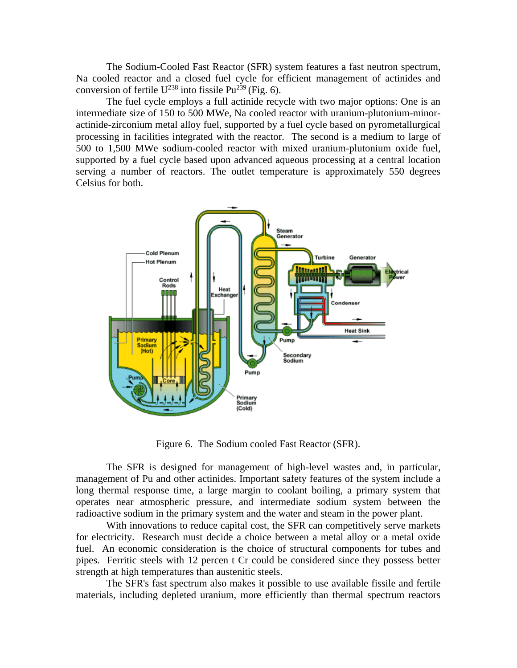The Sodium-Cooled Fast Reactor (SFR) system features a fast neutron spectrum, Na cooled reactor and a closed fuel cycle for efficient management of actinides and conversion of fertile  $U^{238}$  into fissile Pu<sup>239</sup> (Fig. 6).

The fuel cycle employs a full actinide recycle with two major options: One is an intermediate size of 150 to 500 MWe, Na cooled reactor with uranium-plutonium-minoractinide-zirconium metal alloy fuel, supported by a fuel cycle based on pyrometallurgical processing in facilities integrated with the reactor. The second is a medium to large of 500 to 1,500 MWe sodium-cooled reactor with mixed uranium-plutonium oxide fuel, supported by a fuel cycle based upon advanced aqueous processing at a central location serving a number of reactors. The outlet temperature is approximately 550 degrees Celsius for both.



Figure 6. The Sodium cooled Fast Reactor (SFR).

The SFR is designed for management of high-level wastes and, in particular, management of Pu and other actinides. Important safety features of the system include a long thermal response time, a large margin to coolant boiling, a primary system that operates near atmospheric pressure, and intermediate sodium system between the radioactive sodium in the primary system and the water and steam in the power plant.

With innovations to reduce capital cost, the SFR can competitively serve markets for electricity. Research must decide a choice between a metal alloy or a metal oxide fuel. An economic consideration is the choice of structural components for tubes and pipes. Ferritic steels with 12 percen t Cr could be considered since they possess better strength at high temperatures than austenitic steels.

The SFR's fast spectrum also makes it possible to use available fissile and fertile materials, including depleted uranium, more efficiently than thermal spectrum reactors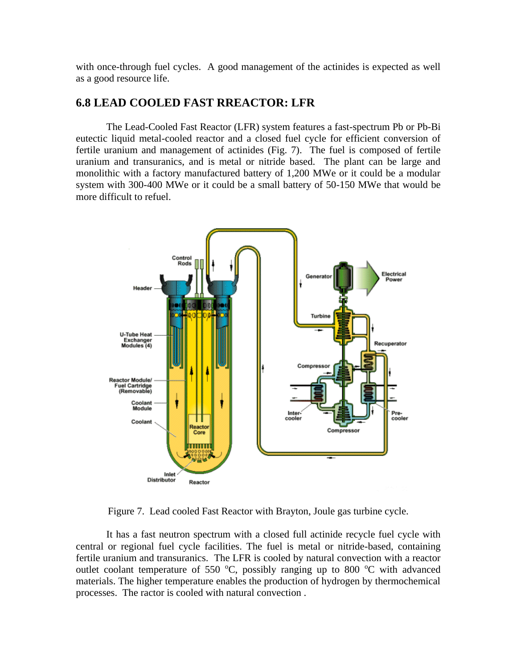with once-through fuel cycles. A good management of the actinides is expected as well as a good resource life.

# **6.8 LEAD COOLED FAST RREACTOR: LFR**

The Lead-Cooled Fast Reactor (LFR) system features a fast-spectrum Pb or Pb-Bi eutectic liquid metal-cooled reactor and a closed fuel cycle for efficient conversion of fertile uranium and management of actinides (Fig. 7). The fuel is composed of fertile uranium and transuranics, and is metal or nitride based. The plant can be large and monolithic with a factory manufactured battery of 1,200 MWe or it could be a modular system with 300-400 MWe or it could be a small battery of 50-150 MWe that would be more difficult to refuel.



Figure 7. Lead cooled Fast Reactor with Brayton, Joule gas turbine cycle.

It has a fast neutron spectrum with a closed full actinide recycle fuel cycle with central or regional fuel cycle facilities. The fuel is metal or nitride-based, containing fertile uranium and transuranics. The LFR is cooled by natural convection with a reactor outlet coolant temperature of 550  $^{\circ}$ C, possibly ranging up to 800  $^{\circ}$ C with advanced materials. The higher temperature enables the production of hydrogen by thermochemical processes. The ractor is cooled with natural convection .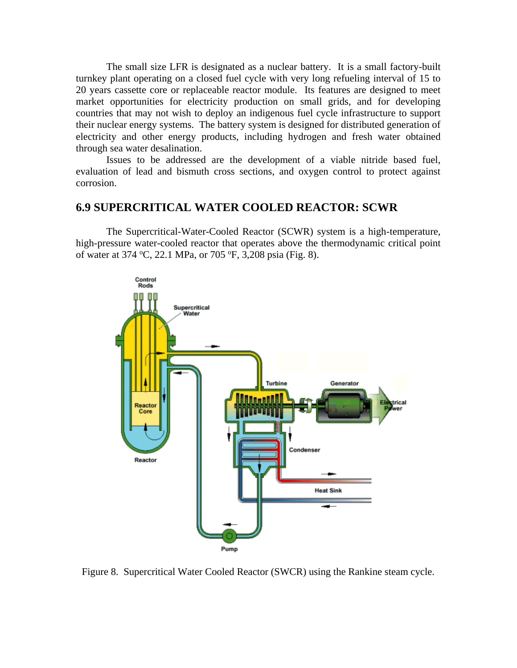The small size LFR is designated as a nuclear battery. It is a small factory-built turnkey plant operating on a closed fuel cycle with very long refueling interval of 15 to 20 years cassette core or replaceable reactor module. Its features are designed to meet market opportunities for electricity production on small grids, and for developing countries that may not wish to deploy an indigenous fuel cycle infrastructure to support their nuclear energy systems. The battery system is designed for distributed generation of electricity and other energy products, including hydrogen and fresh water obtained through sea water desalination.

Issues to be addressed are the development of a viable nitride based fuel, evaluation of lead and bismuth cross sections, and oxygen control to protect against corrosion.

#### **6.9 SUPERCRITICAL WATER COOLED REACTOR: SCWR**

The Supercritical-Water-Cooled Reactor (SCWR) system is a high-temperature, high-pressure water-cooled reactor that operates above the thermodynamic critical point of water at 374 °C, 22.1 MPa, or 705 °F, 3,208 psia (Fig. 8).



Figure 8. Supercritical Water Cooled Reactor (SWCR) using the Rankine steam cycle.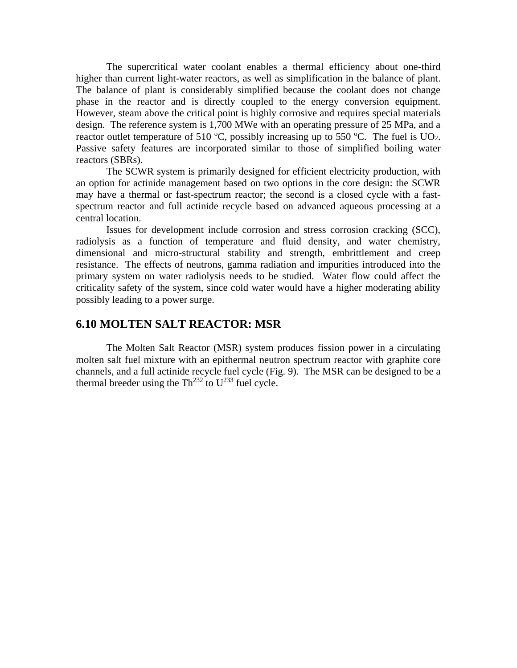The supercritical water coolant enables a thermal efficiency about one-third higher than current light-water reactors, as well as simplification in the balance of plant. The balance of plant is considerably simplified because the coolant does not change phase in the reactor and is directly coupled to the energy conversion equipment. However, steam above the critical point is highly corrosive and requires special materials design. The reference system is 1,700 MWe with an operating pressure of 25 MPa, and a reactor outlet temperature of 510  $^{\circ}$ C, possibly increasing up to 550  $^{\circ}$ C. The fuel is UO<sub>2</sub>. Passive safety features are incorporated similar to those of simplified boiling water reactors (SBRs).

The SCWR system is primarily designed for efficient electricity production, with an option for actinide management based on two options in the core design: the SCWR may have a thermal or fast-spectrum reactor; the second is a closed cycle with a fastspectrum reactor and full actinide recycle based on advanced aqueous processing at a central location.

Issues for development include corrosion and stress corrosion cracking (SCC), radiolysis as a function of temperature and fluid density, and water chemistry, dimensional and micro-structural stability and strength, embrittlement and creep resistance. The effects of neutrons, gamma radiation and impurities introduced into the primary system on water radiolysis needs to be studied. Water flow could affect the criticality safety of the system, since cold water would have a higher moderating ability possibly leading to a power surge.

#### **6.10 MOLTEN SALT REACTOR: MSR**

The Molten Salt Reactor (MSR) system produces fission power in a circulating molten salt fuel mixture with an epithermal neutron spectrum reactor with graphite core channels, and a full actinide recycle fuel cycle (Fig. 9). The MSR can be designed to be a thermal breeder using the  $Th<sup>232</sup>$  to  $U<sup>233</sup>$  fuel cycle.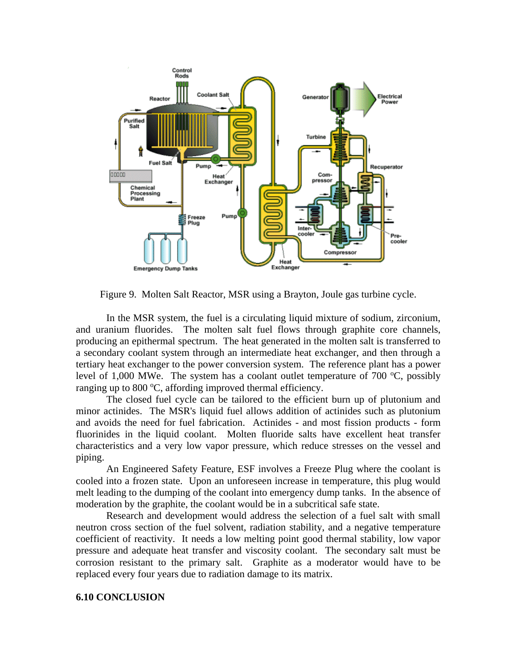

Figure 9. Molten Salt Reactor, MSR using a Brayton, Joule gas turbine cycle.

In the MSR system, the fuel is a circulating liquid mixture of sodium, zirconium, and uranium fluorides. The molten salt fuel flows through graphite core channels, producing an epithermal spectrum. The heat generated in the molten salt is transferred to a secondary coolant system through an intermediate heat exchanger, and then through a tertiary heat exchanger to the power conversion system. The reference plant has a power level of 1,000 MWe. The system has a coolant outlet temperature of 700  $\degree$ C, possibly ranging up to 800  $\degree$ C, affording improved thermal efficiency.

The closed fuel cycle can be tailored to the efficient burn up of plutonium and minor actinides. The MSR's liquid fuel allows addition of actinides such as plutonium and avoids the need for fuel fabrication. Actinides - and most fission products - form fluorinides in the liquid coolant. Molten fluoride salts have excellent heat transfer characteristics and a very low vapor pressure, which reduce stresses on the vessel and piping.

An Engineered Safety Feature, ESF involves a Freeze Plug where the coolant is cooled into a frozen state. Upon an unforeseen increase in temperature, this plug would melt leading to the dumping of the coolant into emergency dump tanks. In the absence of moderation by the graphite, the coolant would be in a subcritical safe state.

Research and development would address the selection of a fuel salt with small neutron cross section of the fuel solvent, radiation stability, and a negative temperature coefficient of reactivity. It needs a low melting point good thermal stability, low vapor pressure and adequate heat transfer and viscosity coolant. The secondary salt must be corrosion resistant to the primary salt. Graphite as a moderator would have to be replaced every four years due to radiation damage to its matrix.

#### **6.10 CONCLUSION**